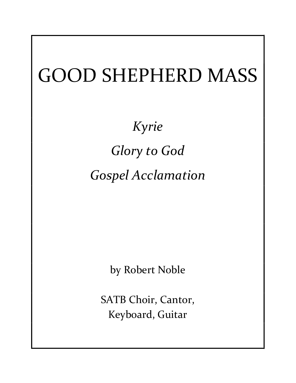## GOOD SHEPHERD MASS

Kyrie Glory to God Gospel Acclamation

by Robert Noble

SATB Choir, Cantor, Keyboard, Guitar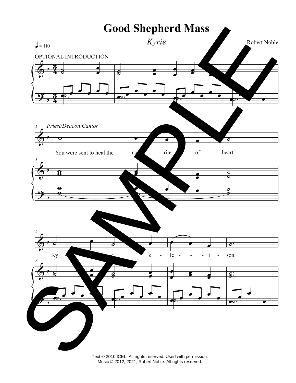

Text © 2010 ICEL. All rights reserved. Used with permission.<br>Music © 2012, 2021, Robert Noble. All rights reserved.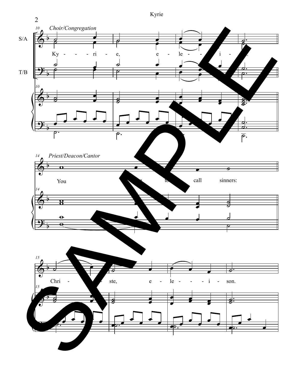Kyrie

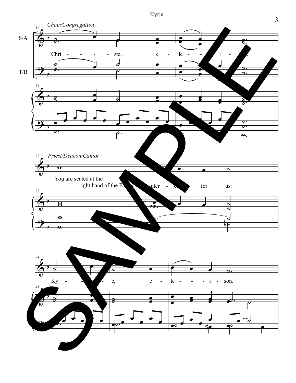Kyrie

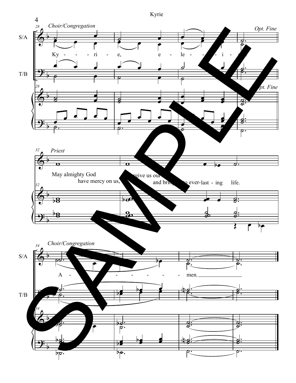

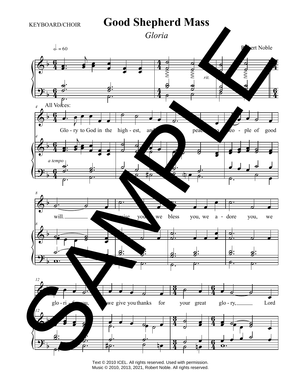

Text © 2010 ICEL. All rights reserved. Used with permission. Music © 2010, 2013, 2021, Robert Noble. All rights reserved.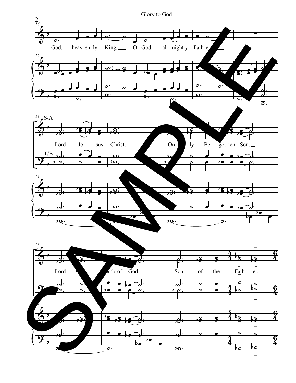

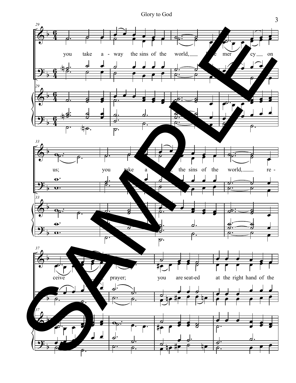Glory to God

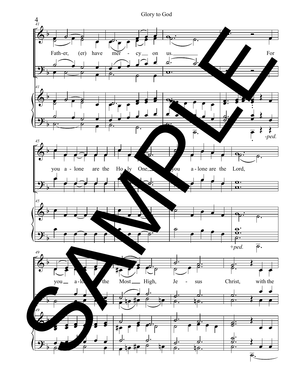

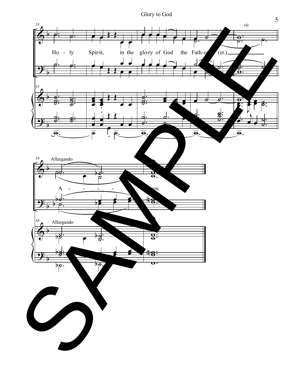Glory to God

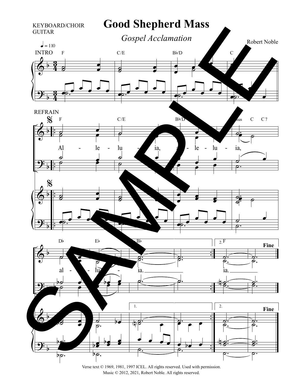

Verse text © 1969, 1981, 1997 ICEL. All rights reserved. Used with permission. Music © 2012, 2021, Robert Noble. All rights reserved.